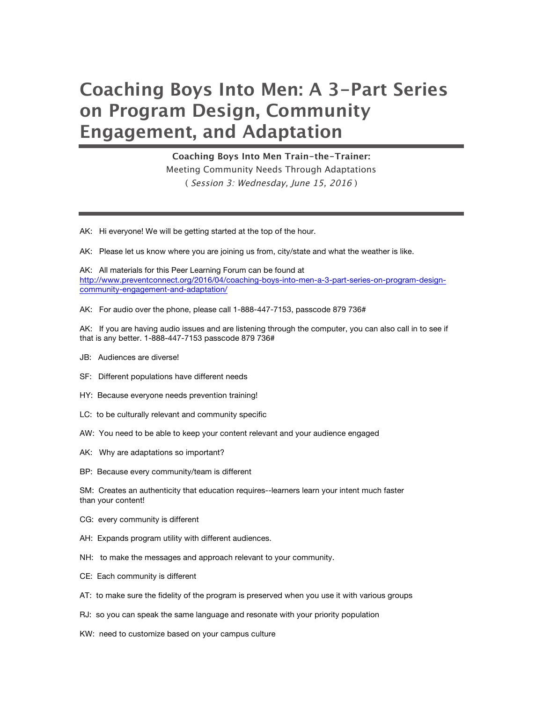## **Coaching Boys Into Men: A 3-Part Series on Program Design, Community Engagement, and Adaptation**

**Coaching Boys Into Men Train-the-Trainer:** Meeting Community Needs Through Adaptations ( Session 3: Wednesday, June 15, 2016 )

AK: Hi everyone! We will be getting started at the top of the hour.

AK: Please let us know where you are joining us from, city/state and what the weather is like.

AK: All materials for this Peer Learning Forum can be found at http://www.preventconnect.org/2016/04/coaching-boys-into-men-a-3-part-series-on-program-designcommunity-engagement-and-adaptation/

AK: For audio over the phone, please call 1-888-447-7153, passcode 879 736#

AK: If you are having audio issues and are listening through the computer, you can also call in to see if that is any better. 1-888-447-7153 passcode 879 736#

- JB: Audiences are diverse!
- SF: Different populations have different needs
- HY: Because everyone needs prevention training!
- LC: to be culturally relevant and community specific
- AW: You need to be able to keep your content relevant and your audience engaged
- AK: Why are adaptations so important?
- BP: Because every community/team is different

SM: Creates an authenticity that education requires--learners learn your intent much faster than your content!

- CG: every community is different
- AH: Expands program utility with different audiences.
- NH: to make the messages and approach relevant to your community.
- CE: Each community is different
- AT: to make sure the fidelity of the program is preserved when you use it with various groups
- RJ: so you can speak the same language and resonate with your priority population
- KW: need to customize based on your campus culture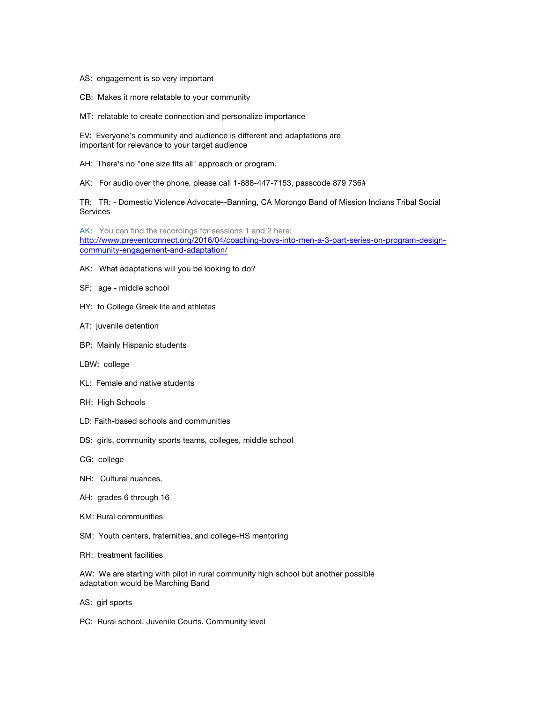- AS: engagement is so very important
- CB: Makes it more relatable to your community
- MT: relatable to create connection and personalize importance

EV: Everyone's community and audience is different and adaptations are important for relevance to your target audience

- AH: There's no "one size fits all" approach or program.
- AK: For audio over the phone, please call 1-888-447-7153, passcode 879 736#

TR: TR: - Domestic Violence Advocate--Banning, CA Morongo Band of Mission Indians Tribal Social **Services** 

AK: You can find the recordings for sessions 1 and 2 here: http://www.preventconnect.org/2016/04/coaching-boys-into-men-a-3-part-series-on-program-designcommunity-engagement-and-adaptation/

- AK: What adaptations will you be looking to do?
- SF: age middle school
- HY: to College Greek life and athletes
- AT: juvenile detention
- BP: Mainly Hispanic students
- LBW: college
- KL: Female and native students
- RH: High Schools
- LD: Faith-based schools and communities
- DS: girls, community sports teams, colleges, middle school
- CG: college
- NH: Cultural nuances.
- AH: grades 6 through 16
- KM: Rural communities
- SM: Youth centers, fraternities, and college-HS mentoring
- RH: treatment facilities
- AW: We are starting with pilot in rural community high school but another possible adaptation would be Marching Band
- AS: girl sports
- PC: Rural school. Juvenile Courts. Community level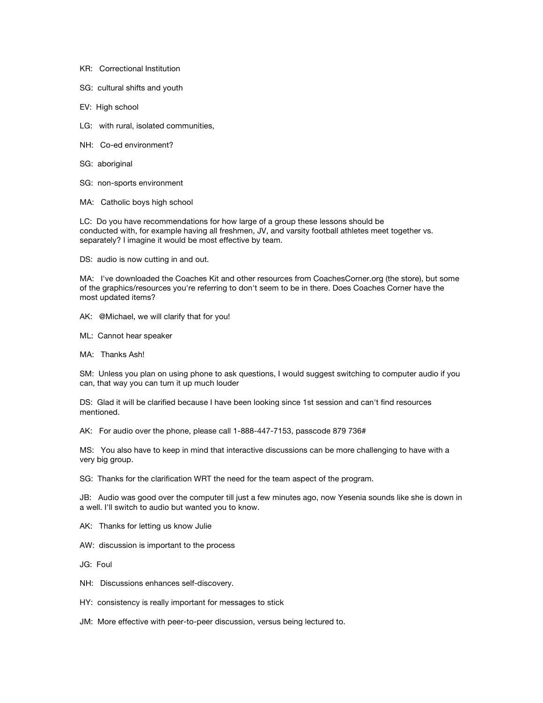- KR: Correctional Institution
- SG: cultural shifts and youth
- EV: High school
- LG: with rural, isolated communities,
- NH: Co-ed environment?
- SG: aboriginal
- SG: non-sports environment
- MA: Catholic boys high school

LC: Do you have recommendations for how large of a group these lessons should be conducted with, for example having all freshmen, JV, and varsity football athletes meet together vs. separately? I imagine it would be most effective by team.

DS: audio is now cutting in and out.

MA: I've downloaded the Coaches Kit and other resources from CoachesCorner.org (the store), but some of the graphics/resources you're referring to don't seem to be in there. Does Coaches Corner have the most updated items?

- AK: @Michael, we will clarify that for you!
- ML: Cannot hear speaker
- MA: Thanks Ash!

SM: Unless you plan on using phone to ask questions, I would suggest switching to computer audio if you can, that way you can turn it up much louder

DS: Glad it will be clarified because I have been looking since 1st session and can't find resources mentioned.

AK: For audio over the phone, please call 1-888-447-7153, passcode 879 736#

MS: You also have to keep in mind that interactive discussions can be more challenging to have with a very big group.

SG: Thanks for the clarification WRT the need for the team aspect of the program.

JB: Audio was good over the computer till just a few minutes ago, now Yesenia sounds like she is down in a well. I'll switch to audio but wanted you to know.

AK: Thanks for letting us know Julie

AW: discussion is important to the process

JG: Foul

- NH: Discussions enhances self-discovery.
- HY: consistency is really important for messages to stick

JM: More effective with peer-to-peer discussion, versus being lectured to.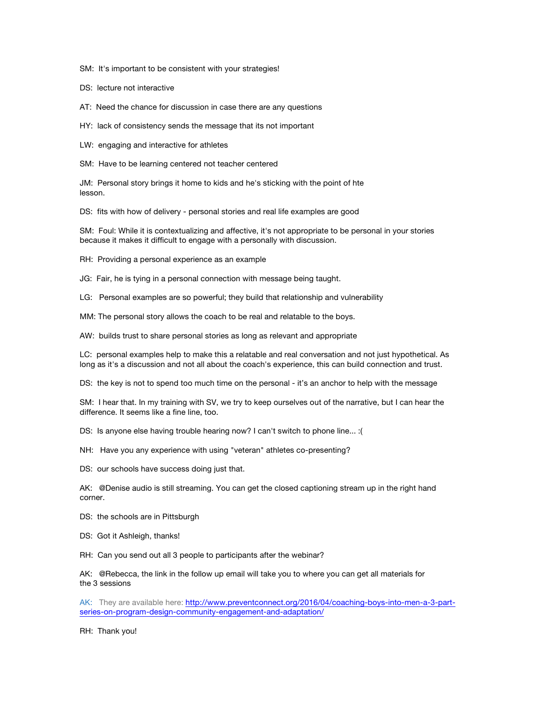SM: It's important to be consistent with your strategies!

DS: lecture not interactive

AT: Need the chance for discussion in case there are any questions

HY: lack of consistency sends the message that its not important

LW: engaging and interactive for athletes

SM: Have to be learning centered not teacher centered

JM: Personal story brings it home to kids and he's sticking with the point of hte lesson.

DS: fits with how of delivery - personal stories and real life examples are good

SM: Foul: While it is contextualizing and affective, it's not appropriate to be personal in your stories because it makes it difficult to engage with a personally with discussion.

RH: Providing a personal experience as an example

JG: Fair, he is tying in a personal connection with message being taught.

LG: Personal examples are so powerful; they build that relationship and vulnerability

MM: The personal story allows the coach to be real and relatable to the boys.

AW: builds trust to share personal stories as long as relevant and appropriate

LC: personal examples help to make this a relatable and real conversation and not just hypothetical. As long as it's a discussion and not all about the coach's experience, this can build connection and trust.

DS: the key is not to spend too much time on the personal - it's an anchor to help with the message

SM: I hear that. In my training with SV, we try to keep ourselves out of the narrative, but I can hear the difference. It seems like a fine line, too.

DS: Is anyone else having trouble hearing now? I can't switch to phone line... :(

NH: Have you any experience with using "veteran" athletes co-presenting?

DS: our schools have success doing just that.

AK: @Denise audio is still streaming. You can get the closed captioning stream up in the right hand corner.

DS: the schools are in Pittsburgh

DS: Got it Ashleigh, thanks!

RH: Can you send out all 3 people to participants after the webinar?

AK: @Rebecca, the link in the follow up email will take you to where you can get all materials for the 3 sessions

AK: They are available here: http://www.preventconnect.org/2016/04/coaching-boys-into-men-a-3-partseries-on-program-design-community-engagement-and-adaptation/

RH: Thank you!